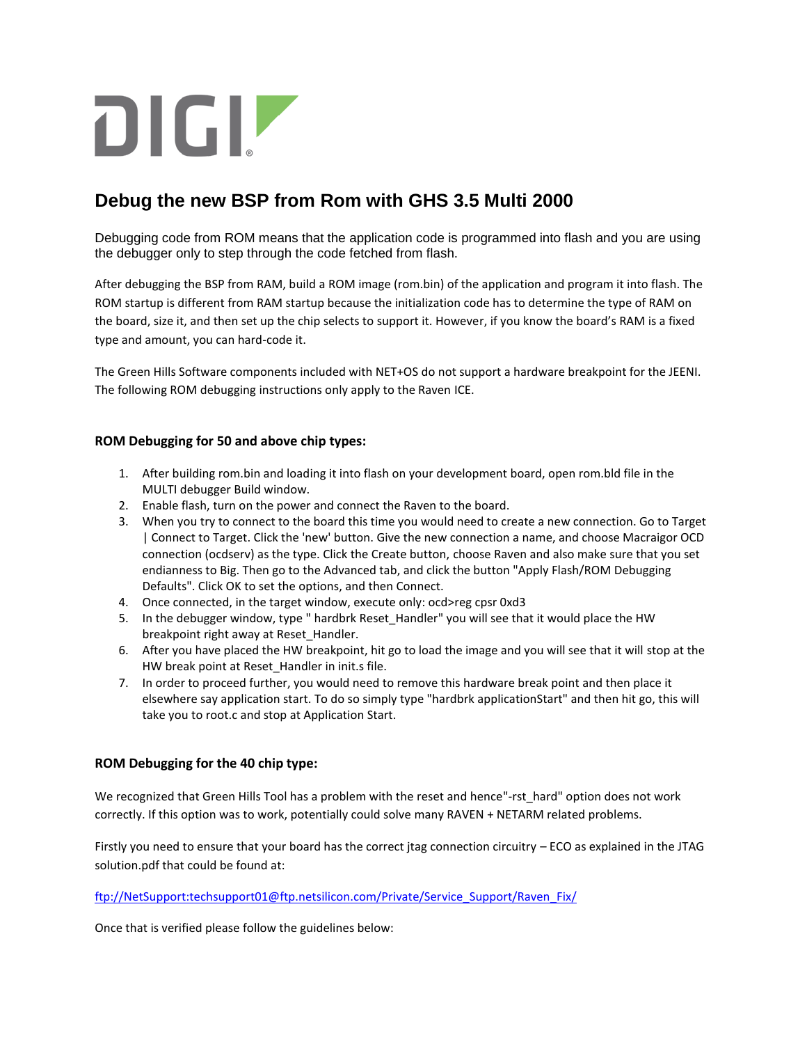## DIGIZ

## **Debug the new BSP from Rom with GHS 3.5 Multi 2000**

Debugging code from ROM means that the application code is programmed into flash and you are using the debugger only to step through the code fetched from flash.

After debugging the BSP from RAM, build a ROM image (rom.bin) of the application and program it into flash. The ROM startup is different from RAM startup because the initialization code has to determine the type of RAM on the board, size it, and then set up the chip selects to support it. However, if you know the board's RAM is a fixed type and amount, you can hard-code it.

The Green Hills Software components included with NET+OS do not support a hardware breakpoint for the JEENI. The following ROM debugging instructions only apply to the Raven ICE.

## **ROM Debugging for 50 and above chip types:**

- 1. After building rom.bin and loading it into flash on your development board, open rom.bld file in the MULTI debugger Build window.
- 2. Enable flash, turn on the power and connect the Raven to the board.
- 3. When you try to connect to the board this time you would need to create a new connection. Go to Target | Connect to Target. Click the 'new' button. Give the new connection a name, and choose Macraigor OCD connection (ocdserv) as the type. Click the Create button, choose Raven and also make sure that you set endianness to Big. Then go to the Advanced tab, and click the button "Apply Flash/ROM Debugging Defaults". Click OK to set the options, and then Connect.
- 4. Once connected, in the target window, execute only: ocd>reg cpsr 0xd3
- 5. In the debugger window, type " hardbrk Reset\_Handler" you will see that it would place the HW breakpoint right away at Reset\_Handler.
- 6. After you have placed the HW breakpoint, hit go to load the image and you will see that it will stop at the HW break point at Reset\_Handler in init.s file.
- 7. In order to proceed further, you would need to remove this hardware break point and then place it elsewhere say application start. To do so simply type "hardbrk applicationStart" and then hit go, this will take you to root.c and stop at Application Start.

## **ROM Debugging for the 40 chip type:**

We recognized that Green Hills Tool has a problem with the reset and hence"-rst hard" option does not work correctly. If this option was to work, potentially could solve many RAVEN + NETARM related problems.

Firstly you need to ensure that your board has the correct jtag connection circuitry – ECO as explained in the JTAG solution.pdf that could be found at:

ftp://NetSupport:techsupport01@ftp.netsilicon.com/Private/Service\_Support/Raven\_Fix/

Once that is verified please follow the guidelines below: